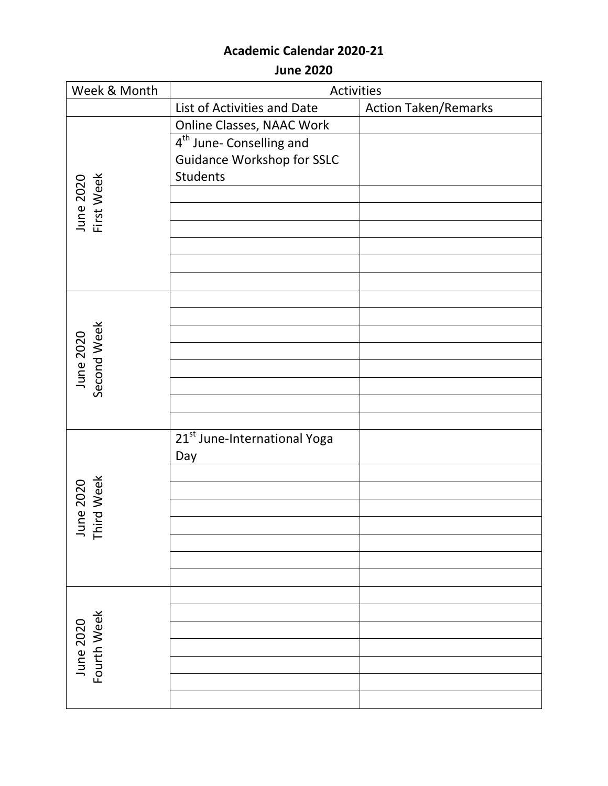**June 2020**

| Week & Month             | Activities                               |                             |
|--------------------------|------------------------------------------|-----------------------------|
|                          | List of Activities and Date              | <b>Action Taken/Remarks</b> |
|                          | Online Classes, NAAC Work                |                             |
|                          | 4 <sup>th</sup> June- Conselling and     |                             |
|                          | <b>Guidance Workshop for SSLC</b>        |                             |
|                          | Students                                 |                             |
|                          |                                          |                             |
| June 2020<br>First Week  |                                          |                             |
|                          |                                          |                             |
|                          |                                          |                             |
|                          |                                          |                             |
|                          |                                          |                             |
|                          |                                          |                             |
|                          |                                          |                             |
| June 2020<br>Second Week |                                          |                             |
|                          |                                          |                             |
|                          |                                          |                             |
|                          |                                          |                             |
|                          |                                          |                             |
|                          |                                          |                             |
|                          | 21 <sup>st</sup> June-International Yoga |                             |
|                          | Day                                      |                             |
|                          |                                          |                             |
| June 2020<br>Third Week  |                                          |                             |
|                          |                                          |                             |
| ΪÄ                       |                                          |                             |
|                          |                                          |                             |
|                          |                                          |                             |
|                          |                                          |                             |
| Fourth Week<br>June 2020 |                                          |                             |
|                          |                                          |                             |
|                          |                                          |                             |
|                          |                                          |                             |
|                          |                                          |                             |
|                          |                                          |                             |
|                          |                                          |                             |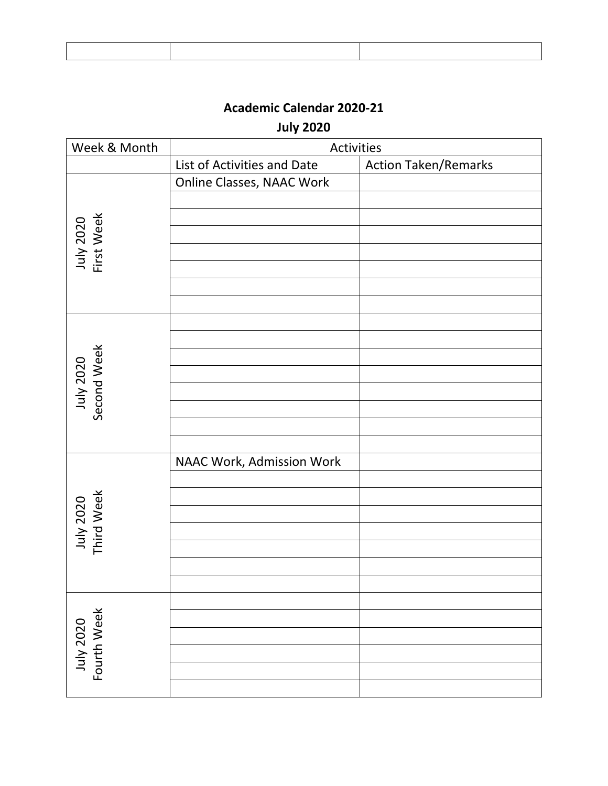I

## **Academic Calendar 2020-21**

**July 2020**

| Week & Month             | Activities                       |                             |
|--------------------------|----------------------------------|-----------------------------|
|                          | List of Activities and Date      | <b>Action Taken/Remarks</b> |
|                          | <b>Online Classes, NAAC Work</b> |                             |
|                          |                                  |                             |
|                          |                                  |                             |
| July 2020<br>First Week  |                                  |                             |
|                          |                                  |                             |
|                          |                                  |                             |
|                          |                                  |                             |
|                          |                                  |                             |
|                          |                                  |                             |
|                          |                                  |                             |
| July 2020<br>Second Week |                                  |                             |
|                          |                                  |                             |
|                          |                                  |                             |
|                          |                                  |                             |
|                          |                                  |                             |
|                          |                                  |                             |
|                          | NAAC Work, Admission Work        |                             |
|                          |                                  |                             |
|                          |                                  |                             |
|                          |                                  |                             |
|                          |                                  |                             |
| July 2020<br>Third Week  |                                  |                             |
|                          |                                  |                             |
|                          |                                  |                             |
| Fourth Week<br>July 2020 |                                  |                             |
|                          |                                  |                             |
|                          |                                  |                             |
|                          |                                  |                             |
|                          |                                  |                             |
|                          |                                  |                             |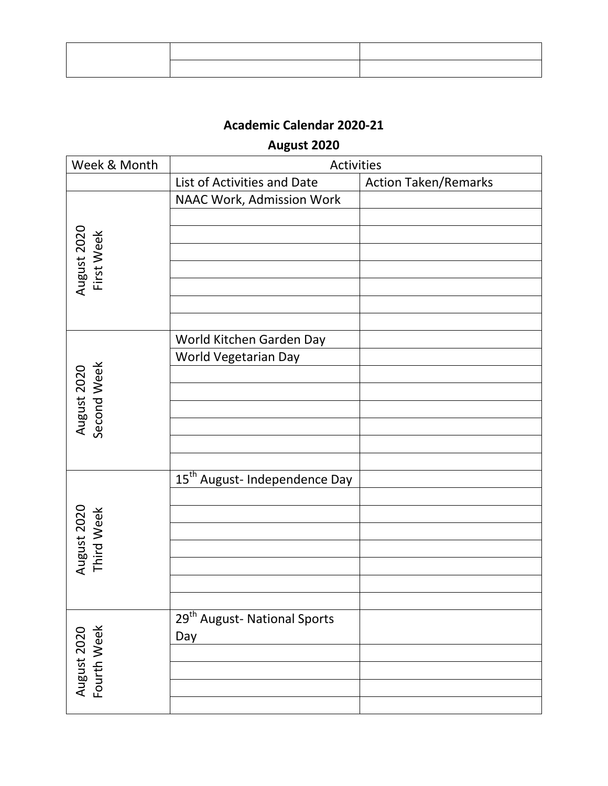# **August 2020**

| Week & Month               | Activities                                |                             |
|----------------------------|-------------------------------------------|-----------------------------|
|                            | List of Activities and Date               | <b>Action Taken/Remarks</b> |
|                            | NAAC Work, Admission Work                 |                             |
|                            |                                           |                             |
|                            |                                           |                             |
| First Week                 |                                           |                             |
|                            |                                           |                             |
| August 2020                |                                           |                             |
|                            |                                           |                             |
|                            |                                           |                             |
|                            | World Kitchen Garden Day                  |                             |
|                            | World Vegetarian Day                      |                             |
| August 2020<br>Second Week |                                           |                             |
|                            |                                           |                             |
|                            |                                           |                             |
|                            |                                           |                             |
|                            |                                           |                             |
|                            |                                           |                             |
|                            | 15 <sup>th</sup> August- Independence Day |                             |
|                            |                                           |                             |
|                            |                                           |                             |
|                            |                                           |                             |
|                            |                                           |                             |
| August 2020<br>Third Week  |                                           |                             |
|                            |                                           |                             |
|                            |                                           |                             |
| August 2020<br>Fourth Week | 29 <sup>th</sup> August- National Sports  |                             |
|                            | Day                                       |                             |
|                            |                                           |                             |
|                            |                                           |                             |
|                            |                                           |                             |
|                            |                                           |                             |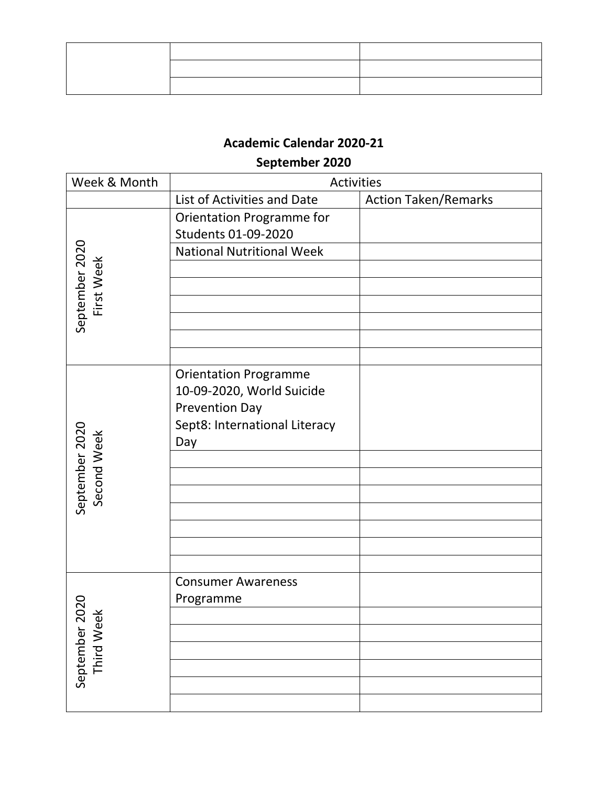# **September 2020**

| Week & Month                     | Activities                       |                             |
|----------------------------------|----------------------------------|-----------------------------|
|                                  | List of Activities and Date      | <b>Action Taken/Remarks</b> |
|                                  | Orientation Programme for        |                             |
|                                  | Students 01-09-2020              |                             |
|                                  | <b>National Nutritional Week</b> |                             |
| September 2020<br>First Week     |                                  |                             |
|                                  |                                  |                             |
|                                  |                                  |                             |
|                                  |                                  |                             |
|                                  |                                  |                             |
|                                  |                                  |                             |
|                                  | <b>Orientation Programme</b>     |                             |
|                                  | 10-09-2020, World Suicide        |                             |
|                                  | <b>Prevention Day</b>            |                             |
|                                  | Sept8: International Literacy    |                             |
|                                  | Day                              |                             |
|                                  |                                  |                             |
|                                  |                                  |                             |
| September 2020<br>Second Week    |                                  |                             |
|                                  |                                  |                             |
|                                  |                                  |                             |
|                                  |                                  |                             |
|                                  |                                  |                             |
| 020<br>Third Week<br>September 2 | <b>Consumer Awareness</b>        |                             |
|                                  | Programme                        |                             |
|                                  |                                  |                             |
|                                  |                                  |                             |
|                                  |                                  |                             |
|                                  |                                  |                             |
|                                  |                                  |                             |
|                                  |                                  |                             |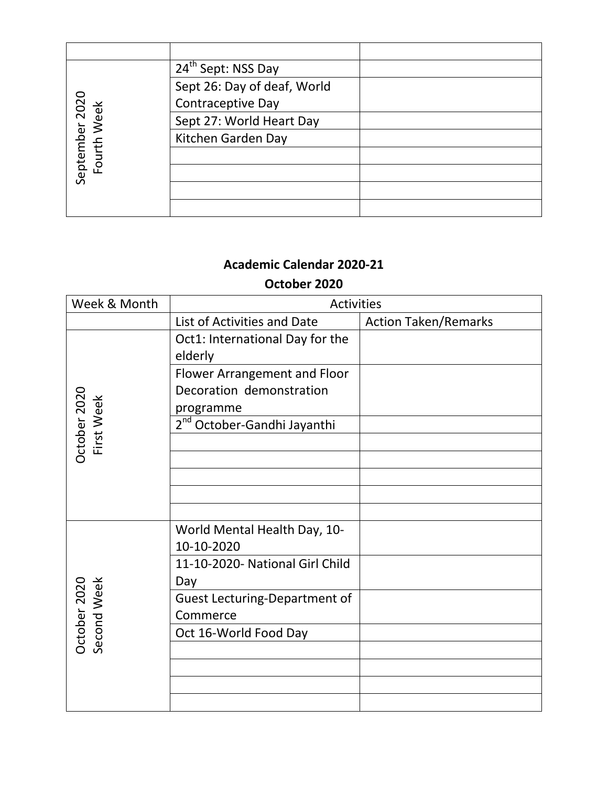|                               | 24 <sup>th</sup> Sept: NSS Day |  |
|-------------------------------|--------------------------------|--|
|                               | Sept 26: Day of deaf, World    |  |
|                               | Contraceptive Day              |  |
|                               | Sept 27: World Heart Day       |  |
| September 2020<br>Fourth Week | Kitchen Garden Day             |  |
|                               |                                |  |
|                               |                                |  |
|                               |                                |  |
|                               |                                |  |

#### **October 2020**

| Week & Month                | Activities                                 |                             |
|-----------------------------|--------------------------------------------|-----------------------------|
|                             | List of Activities and Date                | <b>Action Taken/Remarks</b> |
|                             | Oct1: International Day for the<br>elderly |                             |
|                             | Flower Arrangement and Floor               |                             |
|                             | Decoration demonstration                   |                             |
|                             | programme                                  |                             |
|                             | 2 <sup>nd</sup> October-Gandhi Jayanthi    |                             |
| October 2020<br>First Week  |                                            |                             |
|                             |                                            |                             |
|                             |                                            |                             |
|                             |                                            |                             |
|                             |                                            |                             |
|                             | World Mental Health Day, 10-               |                             |
|                             | 10-10-2020                                 |                             |
|                             | 11-10-2020- National Girl Child            |                             |
|                             | Day                                        |                             |
|                             | <b>Guest Lecturing-Department of</b>       |                             |
| Second Week<br>October 2020 | Commerce                                   |                             |
|                             | Oct 16-World Food Day                      |                             |
|                             |                                            |                             |
|                             |                                            |                             |
|                             |                                            |                             |
|                             |                                            |                             |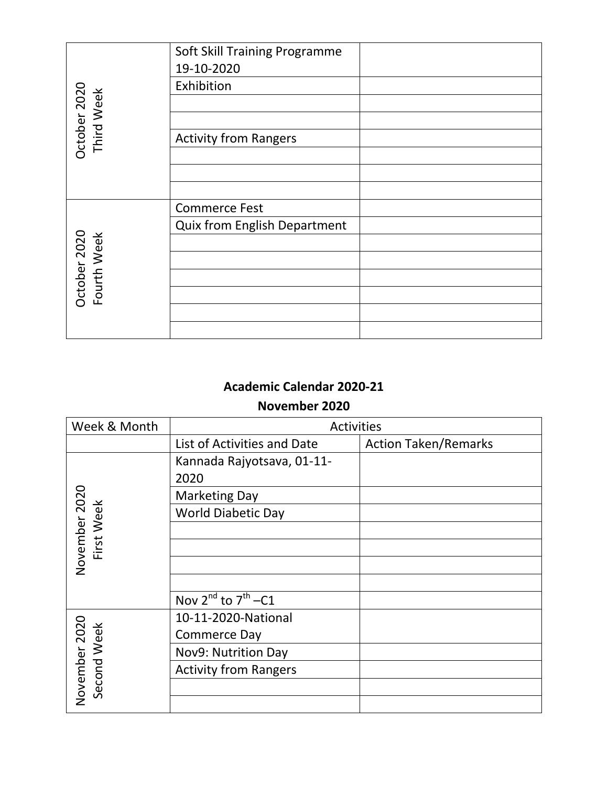|                             | Soft Skill Training Programme       |
|-----------------------------|-------------------------------------|
|                             | 19-10-2020                          |
|                             | Exhibition                          |
| October 2020<br>Third Week  |                                     |
|                             |                                     |
|                             | <b>Activity from Rangers</b>        |
|                             |                                     |
|                             |                                     |
|                             |                                     |
|                             | <b>Commerce Fest</b>                |
|                             | <b>Quix from English Department</b> |
|                             |                                     |
| October 2020<br>Fourth Week |                                     |
|                             |                                     |
|                             |                                     |
|                             |                                     |
|                             |                                     |

#### **November 2020**

| Week & Month                | <b>Activities</b>            |                             |
|-----------------------------|------------------------------|-----------------------------|
|                             | List of Activities and Date  | <b>Action Taken/Remarks</b> |
|                             | Kannada Rajyotsava, 01-11-   |                             |
|                             | 2020                         |                             |
|                             | <b>Marketing Day</b>         |                             |
| November 2020<br>First Week | <b>World Diabetic Day</b>    |                             |
|                             |                              |                             |
|                             |                              |                             |
|                             |                              |                             |
|                             |                              |                             |
|                             | Nov $2^{nd}$ to $7^{th}$ -C1 |                             |
|                             | 10-11-2020-National          |                             |
| Week                        | Commerce Day                 |                             |
| November 2020<br>Second     | Nov9: Nutrition Day          |                             |
|                             | <b>Activity from Rangers</b> |                             |
|                             |                              |                             |
|                             |                              |                             |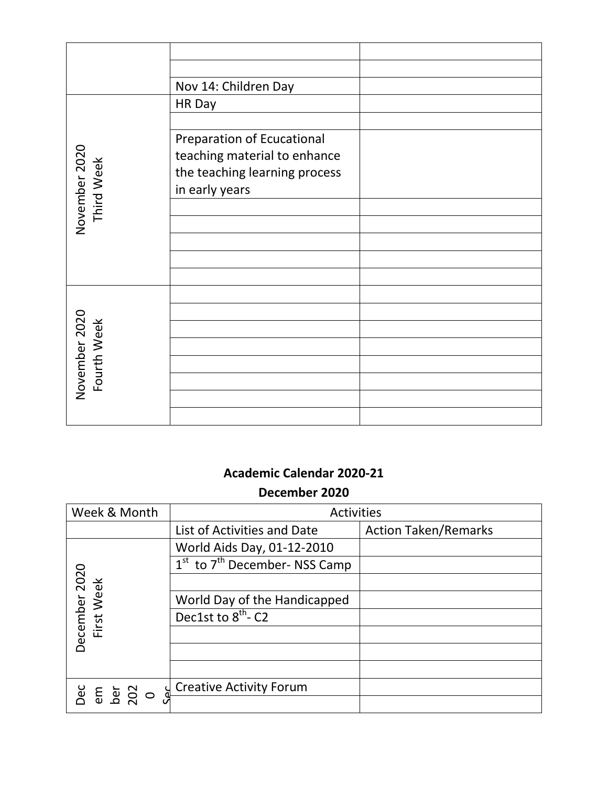|                              | Nov 14: Children Day                                                                                                 |  |
|------------------------------|----------------------------------------------------------------------------------------------------------------------|--|
|                              | HR Day                                                                                                               |  |
| November 2020<br>Third Week  | <b>Preparation of Ecucational</b><br>teaching material to enhance<br>the teaching learning process<br>in early years |  |
| November 2020<br>Fourth Week |                                                                                                                      |  |

# **Academic Calendar 2020-21 December 2020**

| Week & Month                                       | <b>Activities</b>                                     |                             |
|----------------------------------------------------|-------------------------------------------------------|-----------------------------|
|                                                    | List of Activities and Date                           | <b>Action Taken/Remarks</b> |
|                                                    | World Aids Day, 01-12-2010                            |                             |
|                                                    | 1 <sup>st</sup> to 7 <sup>th</sup> December- NSS Camp |                             |
| December 2020<br>First Week                        |                                                       |                             |
|                                                    | World Day of the Handicapped                          |                             |
|                                                    | Dec1st to 8 <sup>th</sup> -C2                         |                             |
|                                                    |                                                       |                             |
|                                                    |                                                       |                             |
|                                                    |                                                       |                             |
| ျှ<br><b>Dec</b> 5 20<br><b>E</b> 5 20<br><b>D</b> | <b>Creative Activity Forum</b>                        |                             |
|                                                    |                                                       |                             |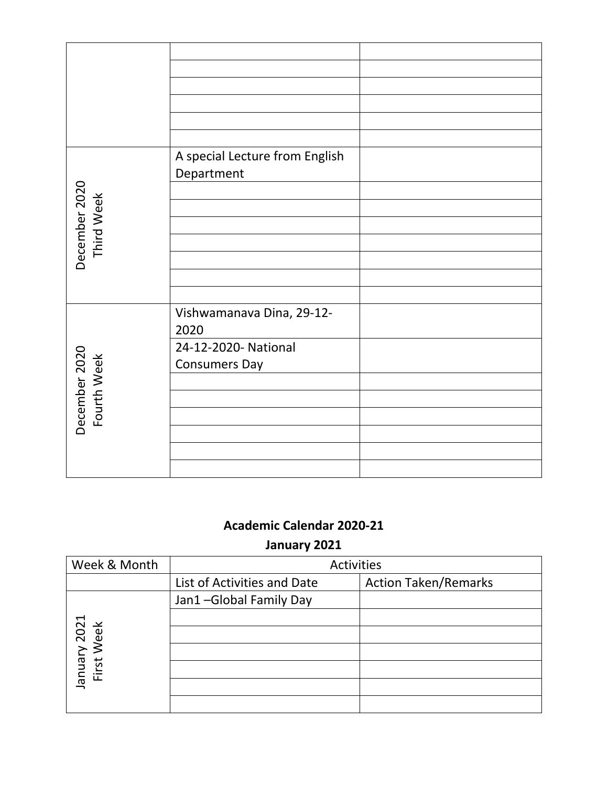|                              | A special Lecture from English<br>Department |  |
|------------------------------|----------------------------------------------|--|
| December 2020<br>Third Week  |                                              |  |
|                              |                                              |  |
|                              |                                              |  |
|                              |                                              |  |
|                              |                                              |  |
|                              |                                              |  |
|                              | Vishwamanava Dina, 29-12-<br>2020            |  |
|                              | 24-12-2020- National                         |  |
|                              | <b>Consumers Day</b>                         |  |
|                              |                                              |  |
|                              |                                              |  |
| December 2020<br>Fourth Week |                                              |  |
|                              |                                              |  |
|                              |                                              |  |
|                              |                                              |  |

# **January 2021**

| Week & Month               | <b>Activities</b>           |                             |
|----------------------------|-----------------------------|-----------------------------|
|                            | List of Activities and Date | <b>Action Taken/Remarks</b> |
|                            | Jan1-Global Family Day      |                             |
|                            |                             |                             |
| January 2021<br>First Week |                             |                             |
|                            |                             |                             |
|                            |                             |                             |
|                            |                             |                             |
|                            |                             |                             |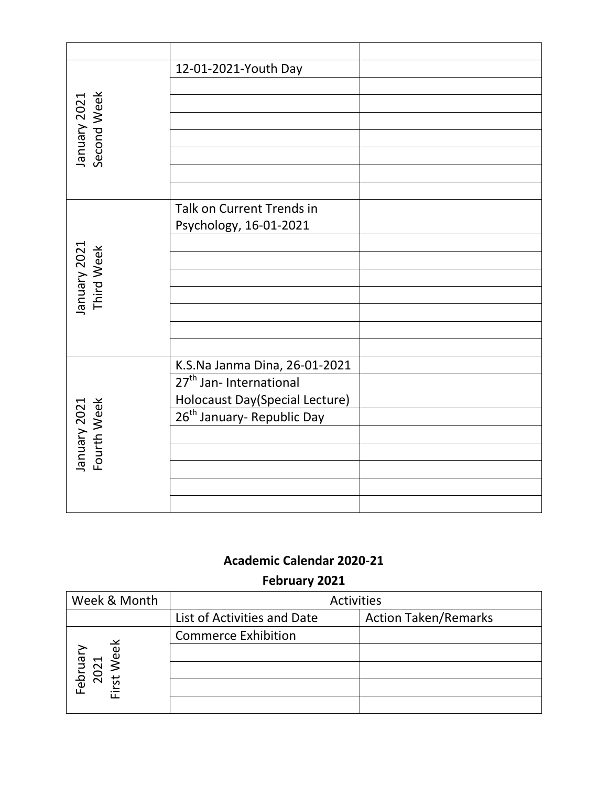|                             | 12-01-2021-Youth Day                                                 |  |
|-----------------------------|----------------------------------------------------------------------|--|
|                             |                                                                      |  |
|                             |                                                                      |  |
|                             |                                                                      |  |
| Second Week<br>January 2021 |                                                                      |  |
|                             |                                                                      |  |
|                             |                                                                      |  |
|                             | Talk on Current Trends in                                            |  |
|                             | Psychology, 16-01-2021                                               |  |
|                             |                                                                      |  |
| January 2021<br>Third Week  |                                                                      |  |
|                             |                                                                      |  |
|                             |                                                                      |  |
|                             |                                                                      |  |
|                             |                                                                      |  |
|                             |                                                                      |  |
|                             | K.S.Na Janma Dina, 26-01-2021<br>27 <sup>th</sup> Jan- International |  |
| Fourth Week<br>January 2021 | Holocaust Day(Special Lecture)                                       |  |
|                             | 26 <sup>th</sup> January- Republic Day                               |  |
|                             |                                                                      |  |
|                             |                                                                      |  |
|                             |                                                                      |  |
|                             |                                                                      |  |
|                             |                                                                      |  |

**February 2021**

| Week & Month                 | <b>Activities</b>           |                             |
|------------------------------|-----------------------------|-----------------------------|
|                              | List of Activities and Date | <b>Action Taken/Remarks</b> |
|                              | <b>Commerce Exhibition</b>  |                             |
| $\breve{\mathrm{e}}$         |                             |                             |
| Februar <sub>)</sub><br>2021 |                             |                             |
| بغ<br>ب                      |                             |                             |
|                              |                             |                             |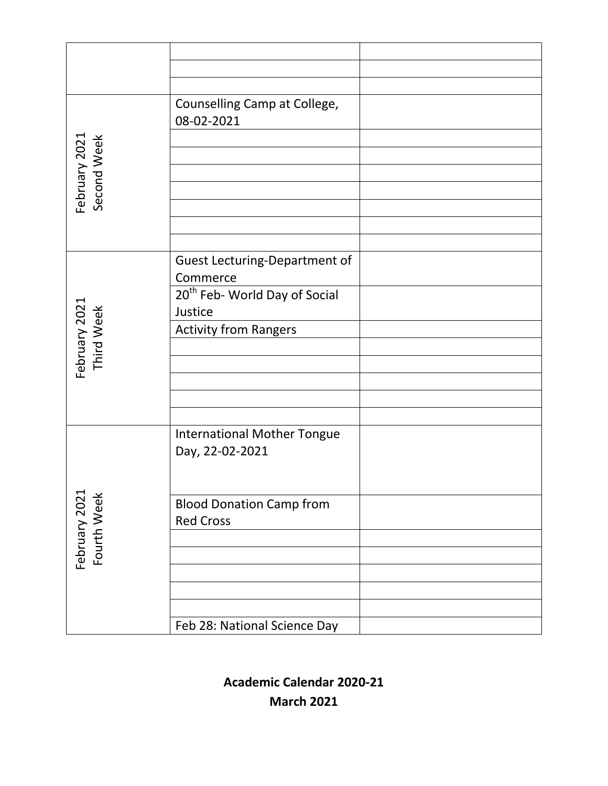|                              | Counselling Camp at College,<br>08-02-2021                                           |
|------------------------------|--------------------------------------------------------------------------------------|
| February 2021<br>Second Week |                                                                                      |
|                              | <b>Guest Lecturing-Department of</b><br>Commerce                                     |
| February 2021<br>Third Week  | 20 <sup>th</sup> Feb- World Day of Social<br>Justice<br><b>Activity from Rangers</b> |
|                              |                                                                                      |
|                              |                                                                                      |
|                              | <b>International Mother Tongue</b><br>Day, 22-02-2021                                |
| February 2021<br>Fourth Week | <b>Blood Donation Camp from</b><br><b>Red Cross</b>                                  |
|                              |                                                                                      |
|                              |                                                                                      |
|                              | Feb 28: National Science Day                                                         |

**Academic Calendar 2020-21 March 2021**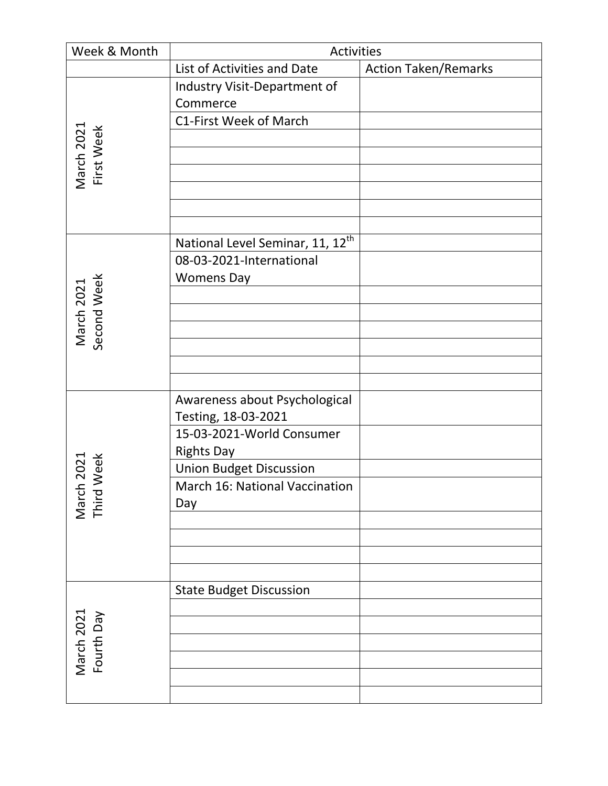| Week & Month              | Activities                                   |                             |
|---------------------------|----------------------------------------------|-----------------------------|
|                           | List of Activities and Date                  | <b>Action Taken/Remarks</b> |
|                           | Industry Visit-Department of                 |                             |
|                           | Commerce                                     |                             |
|                           | C1-First Week of March                       |                             |
|                           |                                              |                             |
| March 2021<br>First Week  |                                              |                             |
|                           |                                              |                             |
|                           |                                              |                             |
|                           |                                              |                             |
|                           |                                              |                             |
|                           | National Level Seminar, 11, 12 <sup>th</sup> |                             |
|                           | 08-03-2021-International                     |                             |
|                           | <b>Womens Day</b>                            |                             |
| March 2021<br>Second Week |                                              |                             |
|                           |                                              |                             |
|                           |                                              |                             |
|                           |                                              |                             |
|                           |                                              |                             |
|                           |                                              |                             |
|                           | Awareness about Psychological                |                             |
|                           | Testing, 18-03-2021                          |                             |
|                           | 15-03-2021-World Consumer                    |                             |
| 2021                      | <b>Rights Day</b>                            |                             |
| Week                      | Union Budget Discussion                      |                             |
|                           | March 16: National Vaccination               |                             |
| March<br>Third V          | Day                                          |                             |
|                           |                                              |                             |
|                           |                                              |                             |
|                           |                                              |                             |
|                           | <b>State Budget Discussion</b>               |                             |
|                           |                                              |                             |
| March 2021                |                                              |                             |
|                           |                                              |                             |
| Fourth Day                |                                              |                             |
|                           |                                              |                             |
|                           |                                              |                             |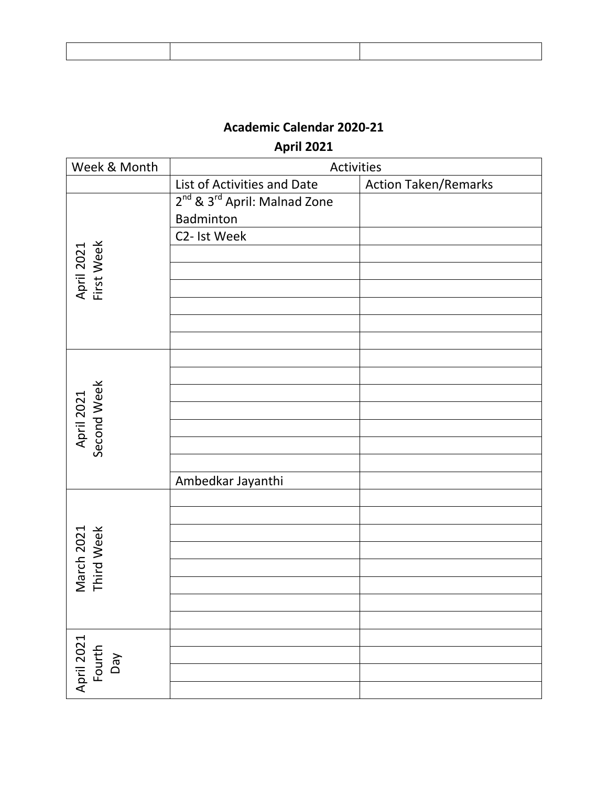**April 2021**

| Week & Month                | Activities                                           |                             |
|-----------------------------|------------------------------------------------------|-----------------------------|
|                             | List of Activities and Date                          | <b>Action Taken/Remarks</b> |
|                             | 2 <sup>nd</sup> & 3 <sup>rd</sup> April: Malnad Zone |                             |
|                             | Badminton                                            |                             |
|                             | C2- Ist Week                                         |                             |
| April 2021<br>First Week    |                                                      |                             |
|                             |                                                      |                             |
|                             |                                                      |                             |
|                             |                                                      |                             |
|                             |                                                      |                             |
|                             |                                                      |                             |
|                             |                                                      |                             |
|                             |                                                      |                             |
|                             |                                                      |                             |
|                             |                                                      |                             |
| April 2021<br>Second Week   |                                                      |                             |
|                             |                                                      |                             |
|                             |                                                      |                             |
|                             | Ambedkar Jayanthi                                    |                             |
|                             |                                                      |                             |
|                             |                                                      |                             |
|                             |                                                      |                             |
|                             |                                                      |                             |
| March 2021<br>Third Week    |                                                      |                             |
|                             |                                                      |                             |
|                             |                                                      |                             |
|                             |                                                      |                             |
|                             |                                                      |                             |
| April 2021<br>Fourth<br>VeQ |                                                      |                             |
|                             |                                                      |                             |
|                             |                                                      |                             |